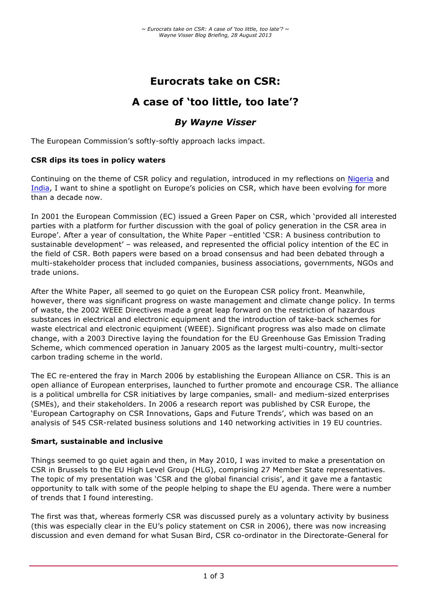## **Eurocrats take on CSR:**

# **A case of 'too little, too late'?**

## *By Wayne Visser*

The European Commission's softly-softly approach lacks impact.

### **CSR dips its toes in policy waters**

Continuing on the theme of CSR policy and regulation, introduced in my reflections on Nigeria and India, I want to shine a spotlight on Europe's policies on CSR, which have been evolving for more than a decade now.

In 2001 the European Commission (EC) issued a Green Paper on CSR, which 'provided all interested parties with a platform for further discussion with the goal of policy generation in the CSR area in Europe'. After a year of consultation, the White Paper –entitled 'CSR: A business contribution to sustainable development' – was released, and represented the official policy intention of the EC in the field of CSR. Both papers were based on a broad consensus and had been debated through a multi-stakeholder process that included companies, business associations, governments, NGOs and trade unions.

After the White Paper, all seemed to go quiet on the European CSR policy front. Meanwhile, however, there was significant progress on waste management and climate change policy. In terms of waste, the 2002 WEEE Directives made a great leap forward on the restriction of hazardous substances in electrical and electronic equipment and the introduction of take-back schemes for waste electrical and electronic equipment (WEEE). Significant progress was also made on climate change, with a 2003 Directive laying the foundation for the EU Greenhouse Gas Emission Trading Scheme, which commenced operation in January 2005 as the largest multi-country, multi-sector carbon trading scheme in the world.

The EC re-entered the fray in March 2006 by establishing the European Alliance on CSR. This is an open alliance of European enterprises, launched to further promote and encourage CSR. The alliance is a political umbrella for CSR initiatives by large companies, small- and medium-sized enterprises (SMEs), and their stakeholders. In 2006 a research report was published by CSR Europe, the 'European Cartography on CSR Innovations, Gaps and Future Trends', which was based on an analysis of 545 CSR-related business solutions and 140 networking activities in 19 EU countries.

#### **Smart, sustainable and inclusive**

Things seemed to go quiet again and then, in May 2010, I was invited to make a presentation on CSR in Brussels to the EU High Level Group (HLG), comprising 27 Member State representatives. The topic of my presentation was 'CSR and the global financial crisis', and it gave me a fantastic opportunity to talk with some of the people helping to shape the EU agenda. There were a number of trends that I found interesting.

The first was that, whereas formerly CSR was discussed purely as a voluntary activity by business (this was especially clear in the EU's policy statement on CSR in 2006), there was now increasing discussion and even demand for what Susan Bird, CSR co-ordinator in the Directorate-General for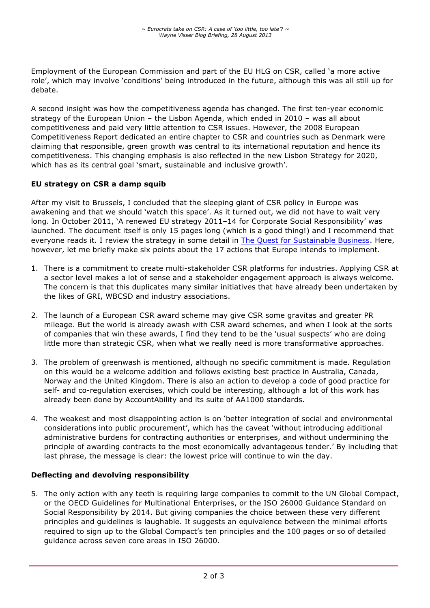Employment of the European Commission and part of the EU HLG on CSR, called 'a more active role', which may involve 'conditions' being introduced in the future, although this was all still up for debate.

A second insight was how the competitiveness agenda has changed. The first ten-year economic strategy of the European Union – the Lisbon Agenda, which ended in 2010 – was all about competitiveness and paid very little attention to CSR issues. However, the 2008 European Competitiveness Report dedicated an entire chapter to CSR and countries such as Denmark were claiming that responsible, green growth was central to its international reputation and hence its competitiveness. This changing emphasis is also reflected in the new Lisbon Strategy for 2020, which has as its central goal 'smart, sustainable and inclusive growth'.

## **EU strategy on CSR a damp squib**

After my visit to Brussels, I concluded that the sleeping giant of CSR policy in Europe was awakening and that we should 'watch this space'. As it turned out, we did not have to wait very long. In October 2011, 'A renewed EU strategy 2011–14 for Corporate Social Responsibility' was launched. The document itself is only 15 pages long (which is a good thing!) and I recommend that everyone reads it. I review the strategy in some detail in The Quest for Sustainable Business. Here, however, let me briefly make six points about the 17 actions that Europe intends to implement.

- 1. There is a commitment to create multi-stakeholder CSR platforms for industries. Applying CSR at a sector level makes a lot of sense and a stakeholder engagement approach is always welcome. The concern is that this duplicates many similar initiatives that have already been undertaken by the likes of GRI, WBCSD and industry associations.
- 2. The launch of a European CSR award scheme may give CSR some gravitas and greater PR mileage. But the world is already awash with CSR award schemes, and when I look at the sorts of companies that win these awards, I find they tend to be the 'usual suspects' who are doing little more than strategic CSR, when what we really need is more transformative approaches.
- 3. The problem of greenwash is mentioned, although no specific commitment is made. Regulation on this would be a welcome addition and follows existing best practice in Australia, Canada, Norway and the United Kingdom. There is also an action to develop a code of good practice for self- and co-regulation exercises, which could be interesting, although a lot of this work has already been done by AccountAbility and its suite of AA1000 standards.
- 4. The weakest and most disappointing action is on 'better integration of social and environmental considerations into public procurement', which has the caveat 'without introducing additional administrative burdens for contracting authorities or enterprises, and without undermining the principle of awarding contracts to the most economically advantageous tender.' By including that last phrase, the message is clear: the lowest price will continue to win the day.

## **Deflecting and devolving responsibility**

5. The only action with any teeth is requiring large companies to commit to the UN Global Compact, or the OECD Guidelines for Multinational Enterprises, or the ISO 26000 Guidance Standard on Social Responsibility by 2014. But giving companies the choice between these very different principles and guidelines is laughable. It suggests an equivalence between the minimal efforts required to sign up to the Global Compact's ten principles and the 100 pages or so of detailed guidance across seven core areas in ISO 26000.